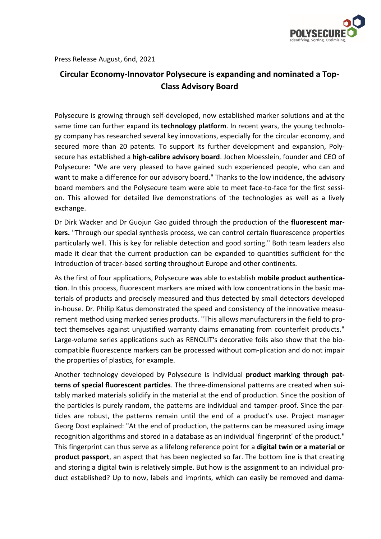

Press Release August, 6nd, 2021

## **Circular Economy-Innovator Polysecure is expanding and nominated a Top-Class Advisory Board**

Polysecure is growing through self-developed, now established marker solutions and at the same time can further expand its **technology platform**. In recent years, the young technology company has researched several key innovations, especially for the circular economy, and secured more than 20 patents. To support its further development and expansion, Polysecure has established a **high-calibre advisory board**. Jochen Moesslein, founder and CEO of Polysecure: "We are very pleased to have gained such experienced people, who can and want to make a difference for our advisory board." Thanks to the low incidence, the advisory board members and the Polysecure team were able to meet face-to-face for the first session. This allowed for detailed live demonstrations of the technologies as well as a lively exchange.

Dr Dirk Wacker and Dr Guojun Gao guided through the production of the **fluorescent markers.** "Through our special synthesis process, we can control certain fluorescence properties particularly well. This is key for reliable detection and good sorting." Both team leaders also made it clear that the current production can be expanded to quantities sufficient for the introduction of tracer-based sorting throughout Europe and other continents.

As the first of four applications, Polysecure was able to establish **mobile product authentication**. In this process, fluorescent markers are mixed with low concentrations in the basic materials of products and precisely measured and thus detected by small detectors developed in-house. Dr. Philip Katus demonstrated the speed and consistency of the innovative measurement method using marked series products. "This allows manufacturers in the field to protect themselves against unjustified warranty claims emanating from counterfeit products." Large-volume series applications such as RENOLIT's decorative foils also show that the biocompatible fluorescence markers can be processed without com-plication and do not impair the properties of plastics, for example.

Another technology developed by Polysecure is individual **product marking through patterns of special fluorescent particles**. The three-dimensional patterns are created when suitably marked materials solidify in the material at the end of production. Since the position of the particles is purely random, the patterns are individual and tamper-proof. Since the particles are robust, the patterns remain until the end of a product's use. Project manager Georg Dost explained: "At the end of production, the patterns can be measured using image recognition algorithms and stored in a database as an individual 'fingerprint' of the product." This fingerprint can thus serve as a lifelong reference point for a **digital twin or a material or product passport**, an aspect that has been neglected so far. The bottom line is that creating and storing a digital twin is relatively simple. But how is the assignment to an individual product established? Up to now, labels and imprints, which can easily be removed and dama-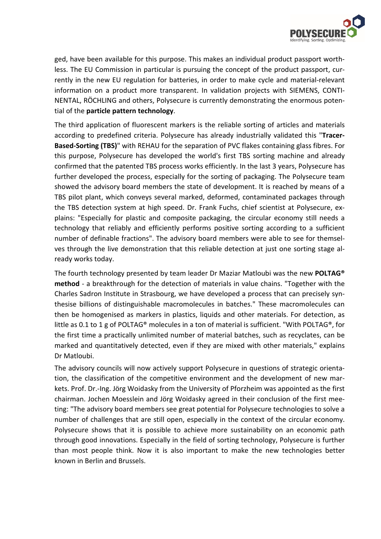

ged, have been available for this purpose. This makes an individual product passport worthless. The EU Commission in particular is pursuing the concept of the product passport, currently in the new EU regulation for batteries, in order to make cycle and material-relevant information on a product more transparent. In validation projects with SIEMENS, CONTI-NENTAL, RÖCHLING and others, Polysecure is currently demonstrating the enormous potential of the **particle pattern technology**.

The third application of fluorescent markers is the reliable sorting of articles and materials according to predefined criteria. Polysecure has already industrially validated this "**Tracer-Based-Sorting (TBS)**" with REHAU for the separation of PVC flakes containing glass fibres. For this purpose, Polysecure has developed the world's first TBS sorting machine and already confirmed that the patented TBS process works efficiently. In the last 3 years, Polysecure has further developed the process, especially for the sorting of packaging. The Polysecure team showed the advisory board members the state of development. It is reached by means of a TBS pilot plant, which conveys several marked, deformed, contaminated packages through the TBS detection system at high speed. Dr. Frank Fuchs, chief scientist at Polysecure, explains: "Especially for plastic and composite packaging, the circular economy still needs a technology that reliably and efficiently performs positive sorting according to a sufficient number of definable fractions". The advisory board members were able to see for themselves through the live demonstration that this reliable detection at just one sorting stage already works today.

The fourth technology presented by team leader Dr Maziar Matloubi was the new **POLTAG® method** - a breakthrough for the detection of materials in value chains. "Together with the Charles Sadron Institute in Strasbourg, we have developed a process that can precisely synthesise billions of distinguishable macromolecules in batches." These macromolecules can then be homogenised as markers in plastics, liquids and other materials. For detection, as little as 0.1 to 1 g of POLTAG® molecules in a ton of material is sufficient. "With POLTAG®, for the first time a practically unlimited number of material batches, such as recyclates, can be marked and quantitatively detected, even if they are mixed with other materials," explains Dr Matloubi.

The advisory councils will now actively support Polysecure in questions of strategic orientation, the classification of the competitive environment and the development of new markets. Prof. Dr.-Ing. Jörg Woidasky from the University of Pforzheim was appointed as the first chairman. Jochen Moesslein and Jörg Woidasky agreed in their conclusion of the first meeting: "The advisory board members see great potential for Polysecure technologies to solve a number of challenges that are still open, especially in the context of the circular economy. Polysecure shows that it is possible to achieve more sustainability on an economic path through good innovations. Especially in the field of sorting technology, Polysecure is further than most people think. Now it is also important to make the new technologies better known in Berlin and Brussels.